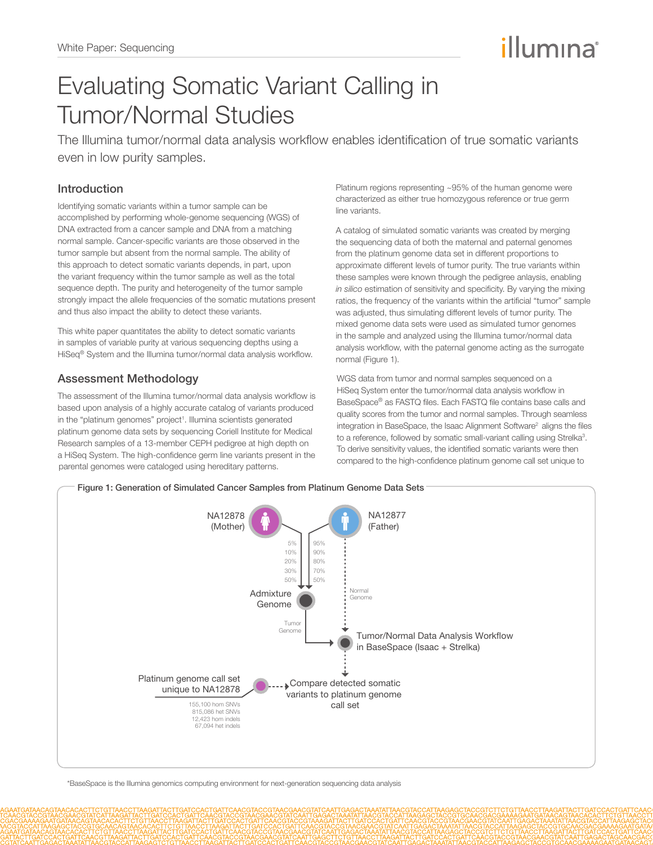# illumına

# Evaluating Somatic Variant Calling in Tumor/Normal Studies

The Illumina tumor/normal data analysis workflow enables identification of true somatic variants even in low purity samples.

### Introduction

Identifying somatic variants within a tumor sample can be accomplished by performing whole-genome sequencing (WGS) of DNA extracted from a cancer sample and DNA from a matching normal sample. Cancer-specific variants are those observed in the tumor sample but absent from the normal sample. The ability of this approach to detect somatic variants depends, in part, upon the variant frequency within the tumor sample as well as the total sequence depth. The purity and heterogeneity of the tumor sample strongly impact the allele frequencies of the somatic mutations present and thus also impact the ability to detect these variants.

This white paper quantitates the ability to detect somatic variants in samples of variable purity at various sequencing depths using a HiSeq® System and the Illumina tumor/normal data analysis workflow.

# Assessment Methodology

The assessment of the Illumina tumor/normal data analysis workflow is based upon analysis of a highly accurate catalog of variants produced in the "platinum genomes" project<sup>1</sup>. Illumina scientists generated platinum genome data sets by sequencing Coriell Institute for Medical Research samples of a 13-member CEPH pedigree at high depth on a HiSeq System. The high-confidence germ line variants present in the parental genomes were cataloged using hereditary patterns.

Platinum regions representing ~95% of the human genome were characterized as either true homozygous reference or true germ line variants.

A catalog of simulated somatic variants was created by merging the sequencing data of both the maternal and paternal genomes from the platinum genome data set in different proportions to approximate different levels of tumor purity. The true variants within these samples were known through the pedigree anlaysis, enabling *in silico* estimation of sensitivity and specificity. By varying the mixing ratios, the frequency of the variants within the artificial "tumor" sample was adjusted, thus simulating different levels of tumor purity. The mixed genome data sets were used as simulated tumor genomes in the sample and analyzed using the Illumina tumor/normal data analysis workflow, with the paternal genome acting as the surrogate normal (Figure 1).

WGS data from tumor and normal samples sequenced on a HiSeq System enter the tumor/normal data analysis workflow in BaseSpace® as FASTQ files. Each FASTQ file contains base calls and quality scores from the tumor and normal samples. Through seamless integration in BaseSpace, the Isaac Alignment Software<sup>2</sup> aligns the files to a reference, followed by somatic small-variant calling using Strelka<sup>3</sup>. To derive sensitivity values, the identified somatic variants were then compared to the high-confidence platinum genome call set unique to



\*BaseSpace is the Illumina genomics computing environment for next-generation sequencing data analysis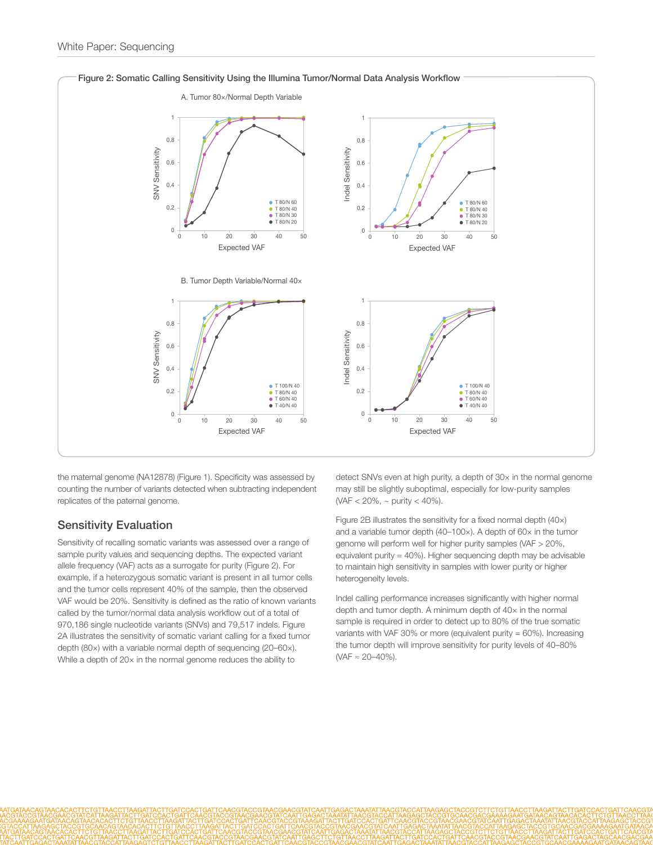

the maternal genome (NA12878) (Figure 1). Specificity was assessed by counting the number of variants detected when subtracting independent replicates of the paternal genome.

#### Sensitivity Evaluation

Sensitivity of recalling somatic variants was assessed over a range of sample purity values and sequencing depths. The expected variant allele frequency (VAF) acts as a surrogate for purity (Figure 2). For example, if a heterozygous somatic variant is present in all tumor cells and the tumor cells represent 40% of the sample, then the observed VAF would be 20%. Sensitivity is defined as the ratio of known variants called by the tumor/normal data analysis workflow out of a total of 970,186 single nucleotide variants (SNVs) and 79,517 indels. Figure 2A illustrates the sensitivity of somatic variant calling for a fixed tumor depth (80×) with a variable normal depth of sequencing (20–60×). While a depth of 20x in the normal genome reduces the ability to

detect SNVs even at high purity, a depth of 30× in the normal genome may still be slightly suboptimal, especially for low-purity samples (VAF < 20%, ~ purity < 40%).

Figure 2B illustrates the sensitivity for a fixed normal depth (40×) and a variable tumor depth (40–100×). A depth of 60× in the tumor genome will perform well for higher purity samples (VAF > 20%, equivalent purity =  $40\%$ ). Higher sequencing depth may be advisable to maintain high sensitivity in samples with lower purity or higher heterogeneity levels.

Indel calling performance increases significantly with higher normal depth and tumor depth. A minimum depth of 40× in the normal sample is required in order to detect up to 80% of the true somatic variants with VAF 30% or more (equivalent purity = 60%). Increasing the tumor depth will improve sensitivity for purity levels of 40–80% (VAF ≈ 20–40%).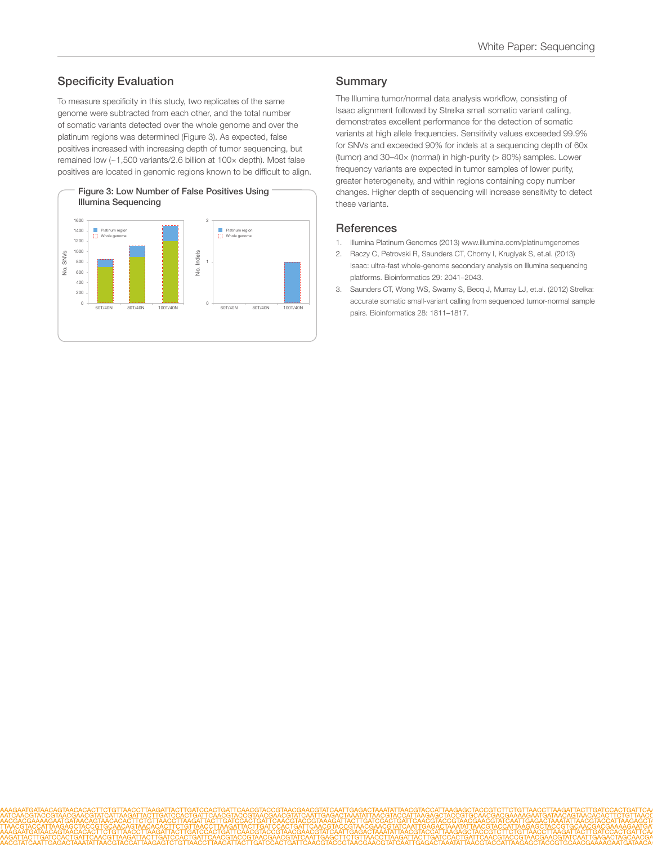## Specificity Evaluation

To measure specificity in this study, two replicates of the same genome were subtracted from each other, and the total number of somatic variants detected over the whole genome and over the platinum regions was determined (Figure 3). As expected, false positives increased with increasing depth of tumor sequencing, but remained low (~1,500 variants/2.6 billion at 100× depth). Most false positives are located in genomic regions known to be difficult to align.



#### **Summary**

The Illumina tumor/normal data analysis workflow, consisting of Isaac alignment followed by Strelka small somatic variant calling, demonstrates excellent performance for the detection of somatic variants at high allele frequencies. Sensitivity values exceeded 99.9% for SNVs and exceeded 90% for indels at a sequencing depth of 60x (tumor) and 30–40× (normal) in high-purity (> 80%) samples. Lower frequency variants are expected in tumor samples of lower purity, greater heterogeneity, and within regions containing copy number changes. Higher depth of sequencing will increase sensitivity to detect these variants.

#### **References**

- 1. [Illumina Platinum Genomes \(2013\) www.illumina.com/platinumgenomes](http://www.illumina.com/platinumgenomes/)
- 2. [Raczy C, Petrovski R, Saunders CT, Chorny I, Kruglyak S, et.al. \(2013\)](http://www.ncbi.nlm.nih.gov/pubmed/23736529)  [Isaac: ultra-fast whole-genome secondary analysis on Illumina sequencing](http://www.ncbi.nlm.nih.gov/pubmed/23736529)  [platforms. Bioinformatics 29: 2041–2043.](http://www.ncbi.nlm.nih.gov/pubmed/23736529)
- 3. [Saunders CT, Wong WS, Swamy S, Becq J, Murray LJ, et.al. \(2012\) Strelka:](http://www.ncbi.nlm.nih.gov/pubmed/22581179)  [accurate somatic small-variant calling from sequenced tumor-normal sample](http://www.ncbi.nlm.nih.gov/pubmed/22581179) [pairs. Bioinformatics 28: 1811–1817.](http://www.ncbi.nlm.nih.gov/pubmed/22581179)